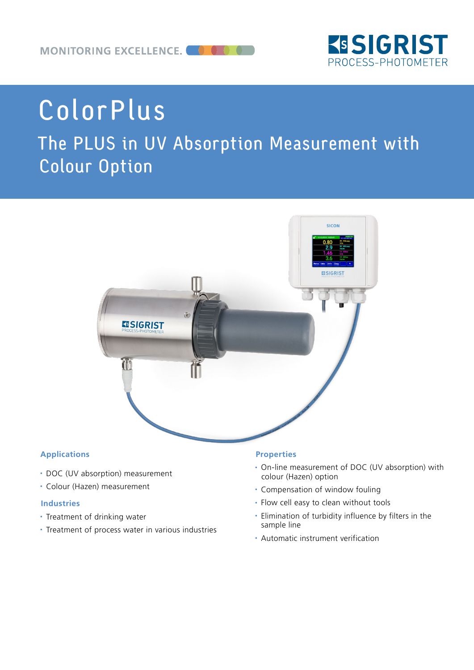

# ColorPlus

## The PLUS in UV Absorption Measurement with Colour Option



#### **Applications**

- DOC (UV absorption) measurement
- Colour (Hazen) measurement

#### **Industries**

- Treatment of drinking water
- Treatment of process water in various industries

#### **Properties**

- On-line measurement of DOC (UV absorption) with colour (Hazen) option
- Compensation of window fouling
- Flow cell easy to clean without tools
- Elimination of turbidity influence by filters in the sample line
- Automatic instrument verification